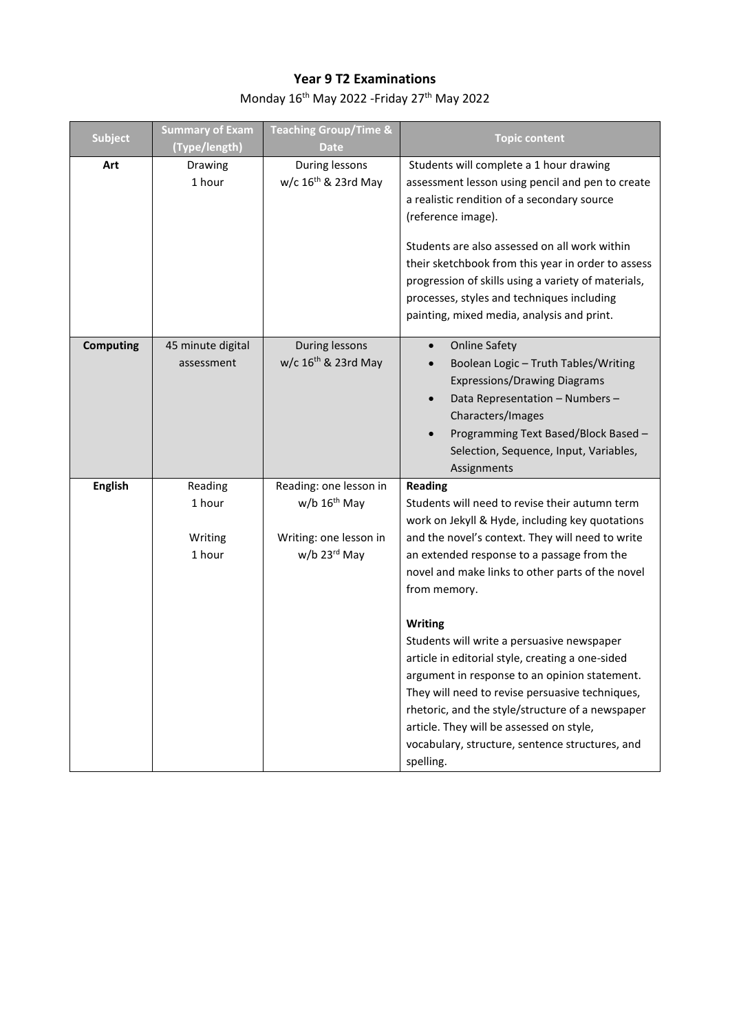## **Year 9 T2 Examinations**

Monday 16<sup>th</sup> May 2022 -Friday 27<sup>th</sup> May 2022

| <b>Subject</b>   | <b>Summary of Exam</b><br>(Type/length) | <b>Teaching Group/Time &amp;</b><br><b>Date</b>                                                     | <b>Topic content</b>                                                                                                                                                                                                                                                                                                                                                                                                                                                                                                                                                                                                                                                       |
|------------------|-----------------------------------------|-----------------------------------------------------------------------------------------------------|----------------------------------------------------------------------------------------------------------------------------------------------------------------------------------------------------------------------------------------------------------------------------------------------------------------------------------------------------------------------------------------------------------------------------------------------------------------------------------------------------------------------------------------------------------------------------------------------------------------------------------------------------------------------------|
| Art              | Drawing<br>1 hour                       | During lessons<br>w/c 16 <sup>th</sup> & 23rd May                                                   | Students will complete a 1 hour drawing<br>assessment lesson using pencil and pen to create<br>a realistic rendition of a secondary source<br>(reference image).<br>Students are also assessed on all work within<br>their sketchbook from this year in order to assess<br>progression of skills using a variety of materials,<br>processes, styles and techniques including<br>painting, mixed media, analysis and print.                                                                                                                                                                                                                                                 |
| <b>Computing</b> | 45 minute digital<br>assessment         | During lessons<br>w/c $16th$ & 23rd May                                                             | <b>Online Safety</b><br>$\bullet$<br>Boolean Logic - Truth Tables/Writing<br><b>Expressions/Drawing Diagrams</b><br>Data Representation - Numbers -<br>Characters/Images<br>Programming Text Based/Block Based -<br>Selection, Sequence, Input, Variables,<br>Assignments                                                                                                                                                                                                                                                                                                                                                                                                  |
| <b>English</b>   | Reading<br>1 hour<br>Writing<br>1 hour  | Reading: one lesson in<br>$w/b$ 16 <sup>th</sup> May<br>Writing: one lesson in<br>$w/b$ 23 $rd$ May | <b>Reading</b><br>Students will need to revise their autumn term<br>work on Jekyll & Hyde, including key quotations<br>and the novel's context. They will need to write<br>an extended response to a passage from the<br>novel and make links to other parts of the novel<br>from memory.<br>Writing<br>Students will write a persuasive newspaper<br>article in editorial style, creating a one-sided<br>argument in response to an opinion statement.<br>They will need to revise persuasive techniques,<br>rhetoric, and the style/structure of a newspaper<br>article. They will be assessed on style,<br>vocabulary, structure, sentence structures, and<br>spelling. |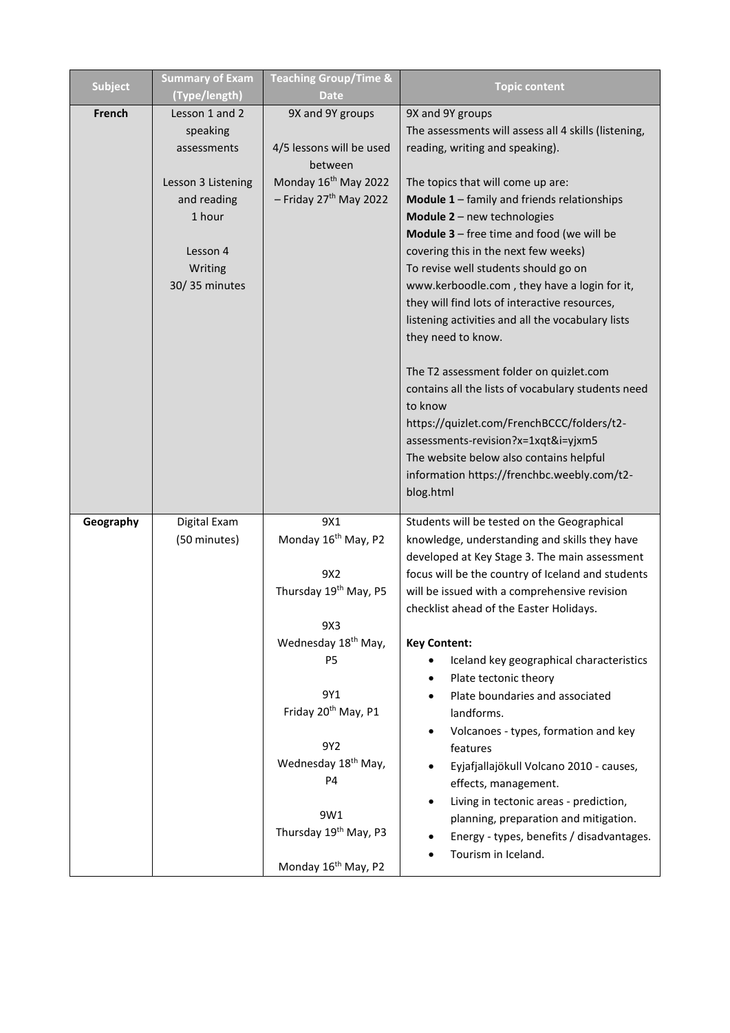| <b>Subject</b> | <b>Summary of Exam</b><br>(Type/length) | <b>Teaching Group/Time &amp;</b><br><b>Date</b> | <b>Topic content</b>                                            |
|----------------|-----------------------------------------|-------------------------------------------------|-----------------------------------------------------------------|
| French         | Lesson 1 and 2                          | 9X and 9Y groups                                | 9X and 9Y groups                                                |
|                | speaking                                |                                                 | The assessments will assess all 4 skills (listening,            |
|                | assessments                             | 4/5 lessons will be used                        | reading, writing and speaking).                                 |
|                |                                         | between                                         |                                                                 |
|                | Lesson 3 Listening                      | Monday 16 <sup>th</sup> May 2022                | The topics that will come up are:                               |
|                | and reading                             | - Friday 27 <sup>th</sup> May 2022              | Module 1 - family and friends relationships                     |
|                | 1 hour                                  |                                                 | Module 2 - new technologies                                     |
|                |                                         |                                                 | <b>Module 3</b> $-$ free time and food (we will be              |
|                | Lesson 4                                |                                                 | covering this in the next few weeks)                            |
|                | Writing                                 |                                                 | To revise well students should go on                            |
|                | 30/35 minutes                           |                                                 | www.kerboodle.com, they have a login for it,                    |
|                |                                         |                                                 | they will find lots of interactive resources,                   |
|                |                                         |                                                 | listening activities and all the vocabulary lists               |
|                |                                         |                                                 | they need to know.                                              |
|                |                                         |                                                 | The T2 assessment folder on quizlet.com                         |
|                |                                         |                                                 | contains all the lists of vocabulary students need              |
|                |                                         |                                                 | to know                                                         |
|                |                                         |                                                 | https://quizlet.com/FrenchBCCC/folders/t2-                      |
|                |                                         |                                                 | assessments-revision?x=1xqt&i=yjxm5                             |
|                |                                         |                                                 | The website below also contains helpful                         |
|                |                                         |                                                 | information https://frenchbc.weebly.com/t2-                     |
|                |                                         |                                                 | blog.html                                                       |
| Geography      | Digital Exam                            | 9X1                                             | Students will be tested on the Geographical                     |
|                | (50 minutes)                            | Monday 16 <sup>th</sup> May, P2                 | knowledge, understanding and skills they have                   |
|                |                                         |                                                 | developed at Key Stage 3. The main assessment                   |
|                |                                         | 9X2                                             | focus will be the country of Iceland and students               |
|                |                                         | Thursday 19 <sup>th</sup> May, P5               | will be issued with a comprehensive revision                    |
|                |                                         |                                                 | checklist ahead of the Easter Holidays.                         |
|                |                                         | 9X3                                             |                                                                 |
|                |                                         | Wednesday 18 <sup>th</sup> May,<br><b>P5</b>    | <b>Key Content:</b><br>Iceland key geographical characteristics |
|                |                                         |                                                 | Plate tectonic theory                                           |
|                |                                         | 9Y1                                             | Plate boundaries and associated                                 |
|                |                                         | Friday 20 <sup>th</sup> May, P1                 | landforms.                                                      |
|                |                                         |                                                 | Volcanoes - types, formation and key                            |
|                |                                         | 9Y2                                             | features                                                        |
|                |                                         | Wednesday 18 <sup>th</sup> May,                 | Eyjafjallajökull Volcano 2010 - causes,                         |
|                |                                         | P4                                              | effects, management.                                            |
|                |                                         |                                                 | Living in tectonic areas - prediction,                          |
|                |                                         | 9W1                                             | planning, preparation and mitigation.                           |
|                |                                         | Thursday 19 <sup>th</sup> May, P3               | Energy - types, benefits / disadvantages.                       |
|                |                                         |                                                 | Tourism in Iceland.                                             |
|                |                                         | Monday 16 <sup>th</sup> May, P2                 |                                                                 |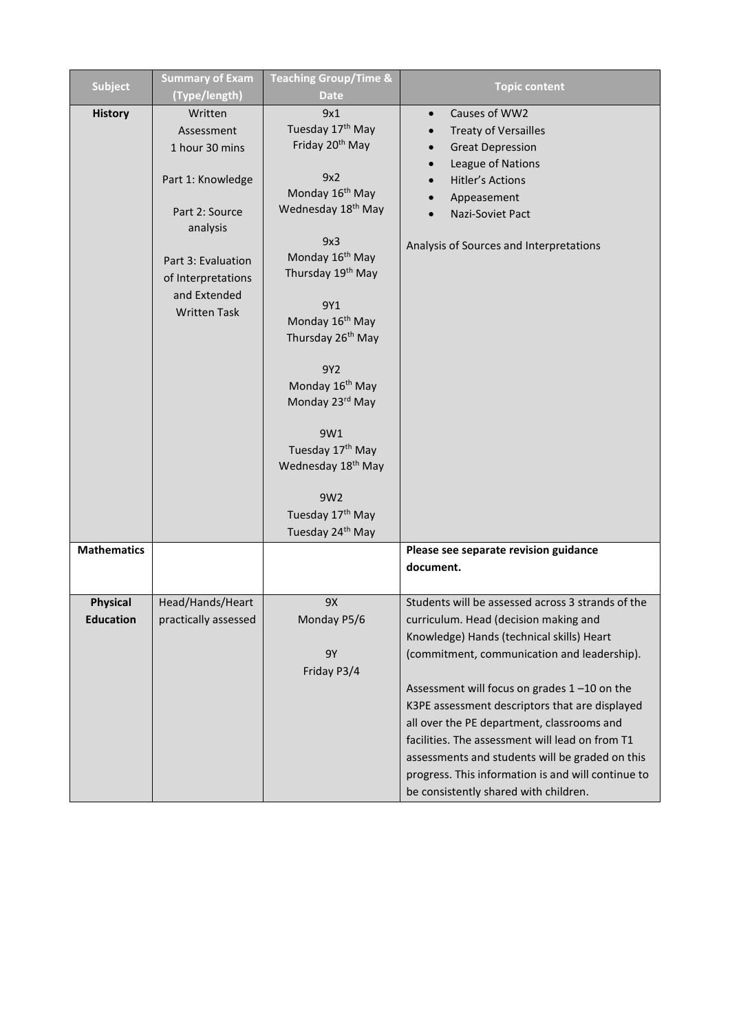| <b>Subject</b>     | <b>Summary of Exam</b> | <b>Teaching Group/Time &amp;</b> | <b>Topic content</b>                               |
|--------------------|------------------------|----------------------------------|----------------------------------------------------|
|                    | (Type/length)          | <b>Date</b>                      |                                                    |
| <b>History</b>     | Written                | 9x1                              | Causes of WW2<br>$\bullet$                         |
|                    | Assessment             | Tuesday 17th May                 | <b>Treaty of Versailles</b>                        |
|                    | 1 hour 30 mins         | Friday 20 <sup>th</sup> May      | <b>Great Depression</b>                            |
|                    |                        |                                  | League of Nations                                  |
|                    | Part 1: Knowledge      | 9x2                              | <b>Hitler's Actions</b>                            |
|                    |                        | Monday 16 <sup>th</sup> May      | Appeasement                                        |
|                    | Part 2: Source         | Wednesday 18 <sup>th</sup> May   | Nazi-Soviet Pact                                   |
|                    | analysis               | 9x3                              |                                                    |
|                    |                        | Monday 16 <sup>th</sup> May      | Analysis of Sources and Interpretations            |
|                    | Part 3: Evaluation     | Thursday 19th May                |                                                    |
|                    | of Interpretations     |                                  |                                                    |
|                    | and Extended           | 9Y1                              |                                                    |
|                    | <b>Written Task</b>    | Monday 16 <sup>th</sup> May      |                                                    |
|                    |                        | Thursday 26 <sup>th</sup> May    |                                                    |
|                    |                        |                                  |                                                    |
|                    |                        | 9Y2                              |                                                    |
|                    |                        | Monday 16 <sup>th</sup> May      |                                                    |
|                    |                        | Monday 23rd May                  |                                                    |
|                    |                        |                                  |                                                    |
|                    |                        | 9W1                              |                                                    |
|                    |                        | Tuesday 17 <sup>th</sup> May     |                                                    |
|                    |                        | Wednesday 18 <sup>th</sup> May   |                                                    |
|                    |                        | 9W2                              |                                                    |
|                    |                        | Tuesday 17th May                 |                                                    |
|                    |                        | Tuesday 24 <sup>th</sup> May     |                                                    |
| <b>Mathematics</b> |                        |                                  | Please see separate revision guidance              |
|                    |                        |                                  | document.                                          |
|                    |                        |                                  |                                                    |
| <b>Physical</b>    | Head/Hands/Heart       | 9X                               | Students will be assessed across 3 strands of the  |
| <b>Education</b>   | practically assessed   | Monday P5/6                      | curriculum. Head (decision making and              |
|                    |                        |                                  | Knowledge) Hands (technical skills) Heart          |
|                    |                        | <b>9Y</b>                        | (commitment, communication and leadership).        |
|                    |                        | Friday P3/4                      |                                                    |
|                    |                        |                                  | Assessment will focus on grades 1-10 on the        |
|                    |                        |                                  | K3PE assessment descriptors that are displayed     |
|                    |                        |                                  | all over the PE department, classrooms and         |
|                    |                        |                                  | facilities. The assessment will lead on from T1    |
|                    |                        |                                  | assessments and students will be graded on this    |
|                    |                        |                                  | progress. This information is and will continue to |
|                    |                        |                                  | be consistently shared with children.              |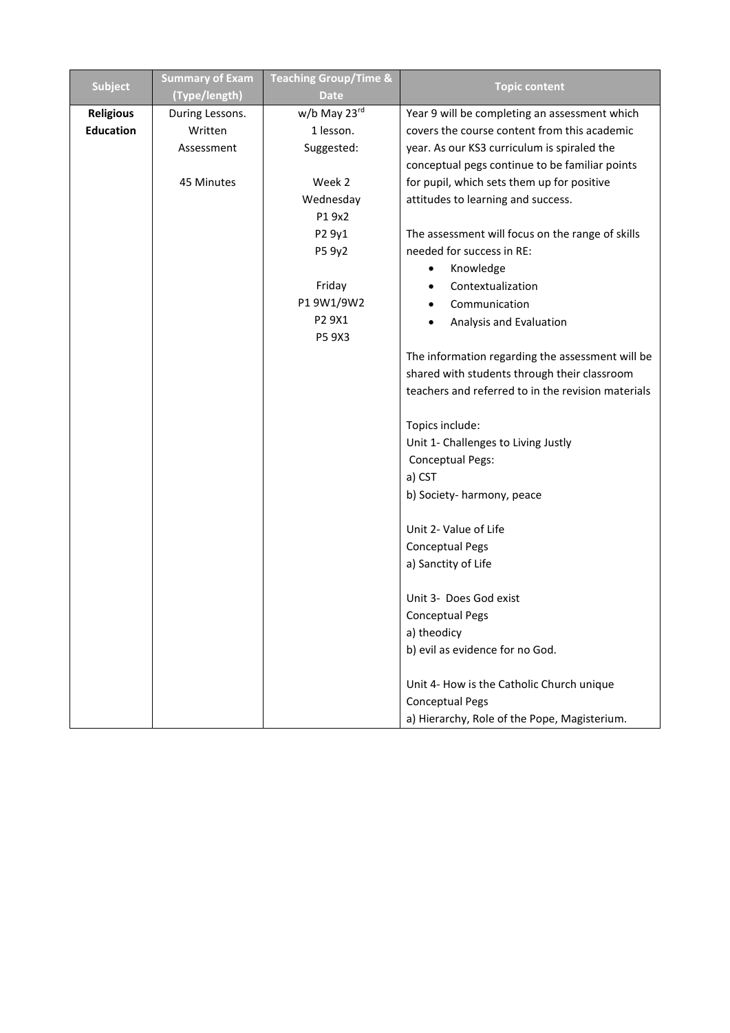| <b>Subject</b>   | <b>Summary of Exam</b> | <b>Teaching Group/Time &amp;</b> | <b>Topic content</b>                               |
|------------------|------------------------|----------------------------------|----------------------------------------------------|
|                  | (Type/length)          | <b>Date</b>                      |                                                    |
| <b>Religious</b> | During Lessons.        | w/b May 23rd                     | Year 9 will be completing an assessment which      |
| <b>Education</b> | Written                | 1 lesson.                        | covers the course content from this academic       |
|                  | Assessment             | Suggested:                       | year. As our KS3 curriculum is spiraled the        |
|                  |                        |                                  | conceptual pegs continue to be familiar points     |
|                  | 45 Minutes             | Week 2                           | for pupil, which sets them up for positive         |
|                  |                        | Wednesday                        | attitudes to learning and success.                 |
|                  |                        | P1 9x2                           |                                                    |
|                  |                        | P2 9y1                           | The assessment will focus on the range of skills   |
|                  |                        | P5 9y2                           | needed for success in RE:                          |
|                  |                        |                                  | Knowledge                                          |
|                  |                        | Friday                           | Contextualization                                  |
|                  |                        | P19W1/9W2                        | Communication                                      |
|                  |                        | P2 9X1                           | Analysis and Evaluation                            |
|                  |                        | P5 9X3                           |                                                    |
|                  |                        |                                  | The information regarding the assessment will be   |
|                  |                        |                                  | shared with students through their classroom       |
|                  |                        |                                  | teachers and referred to in the revision materials |
|                  |                        |                                  | Topics include:                                    |
|                  |                        |                                  | Unit 1- Challenges to Living Justly                |
|                  |                        |                                  | <b>Conceptual Pegs:</b>                            |
|                  |                        |                                  | a) CST                                             |
|                  |                        |                                  | b) Society- harmony, peace                         |
|                  |                        |                                  | Unit 2- Value of Life                              |
|                  |                        |                                  | <b>Conceptual Pegs</b>                             |
|                  |                        |                                  | a) Sanctity of Life                                |
|                  |                        |                                  | Unit 3- Does God exist                             |
|                  |                        |                                  | <b>Conceptual Pegs</b>                             |
|                  |                        |                                  | a) theodicy                                        |
|                  |                        |                                  | b) evil as evidence for no God.                    |
|                  |                        |                                  |                                                    |
|                  |                        |                                  | Unit 4- How is the Catholic Church unique          |
|                  |                        |                                  | <b>Conceptual Pegs</b>                             |
|                  |                        |                                  | a) Hierarchy, Role of the Pope, Magisterium.       |